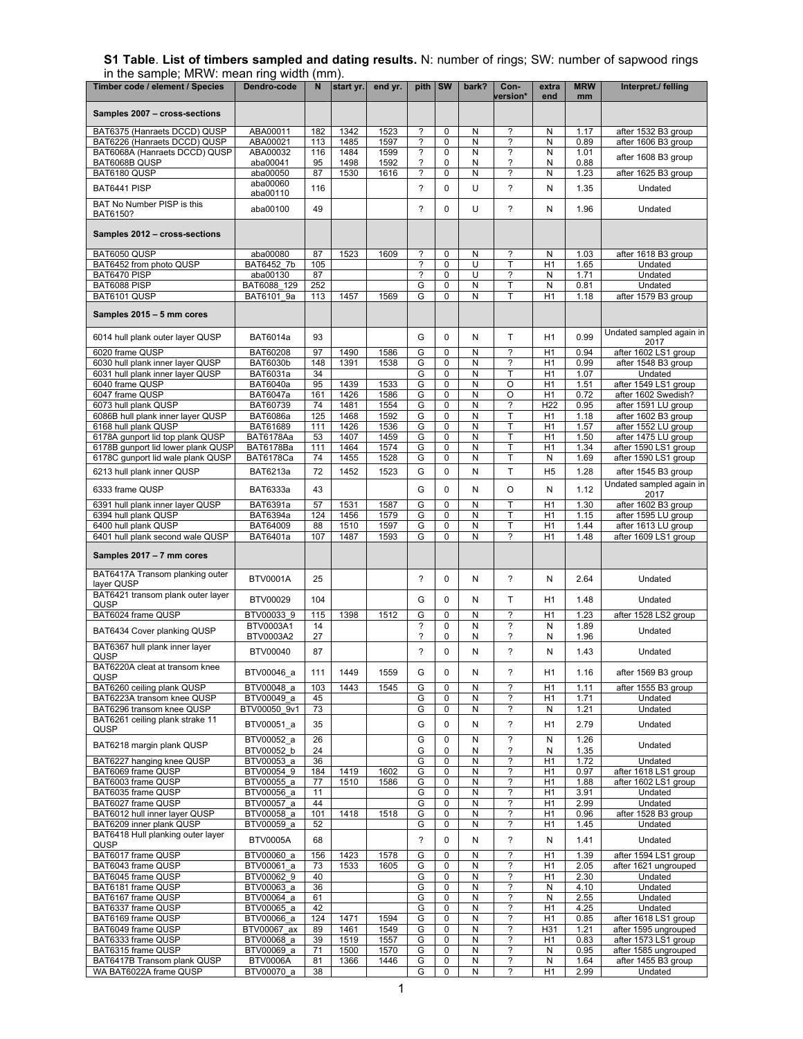## **S1 Table**. **List of timbers sampled and dating results.** N: number of rings; SW: number of sapwood rings in the sample; MRW: mean ring width (mm).

| Timber code / element / Species                                             | Dendro-code                   | N          | start yr.    | end yr.      | pith SW                       |                | bark?          | Con-                          | extra           | <b>MRW</b>   | Interpret./ felling                          |
|-----------------------------------------------------------------------------|-------------------------------|------------|--------------|--------------|-------------------------------|----------------|----------------|-------------------------------|-----------------|--------------|----------------------------------------------|
|                                                                             |                               |            |              |              |                               |                |                | version*                      | end             | mm           |                                              |
| Samples 2007 - cross-sections                                               |                               |            |              |              |                               |                |                |                               |                 |              |                                              |
| BAT6375 (Hanraets DCCD) QUSP                                                | ABA00011                      | 182        | 1342         | 1523         | $\overline{\mathbf{?}}$       | 0              | N              | ?                             | N               | 1.17         | after 1532 B3 group                          |
| BAT6226 (Hanraets DCCD) QUSP<br>BAT6068A (Hanraets DCCD) QUSP               | ABA00021<br>ABA00032          | 113<br>116 | 1485<br>1484 | 1597<br>1599 | ?<br>?                        | 0<br>0         | N<br>N         | ?<br>?                        | N<br>N          | 0.89<br>1.01 | after 1606 B3 group                          |
| BAT6068B QUSP                                                               | aba00041                      | 95         | 1498         | 1592         | $\overline{\phantom{a}}$      | 0              | Ν              | ?                             | N               | 0.88         | after 1608 B3 group                          |
| BAT6180 QUSP                                                                | aba00050                      | 87         | 1530         | 1616         | ?                             | 0              | N              | ?                             | N               | 1.23         | after 1625 B3 group                          |
| BAT6441 PISP                                                                | aba00060<br>aba00110          | 116        |              |              | $\overline{\phantom{a}}$      | $\mathbf{0}$   | U              | ?                             | N               | 1.35         | Undated                                      |
| BAT No Number PISP is this<br>BAT6150?                                      | aba00100                      | 49         |              |              | $\overline{\phantom{0}}$      | 0              | U              | $\overline{\phantom{a}}$      | N               | 1.96         | Undated                                      |
| Samples 2012 - cross-sections                                               |                               |            |              |              |                               |                |                |                               |                 |              |                                              |
| BAT6050 QUSP                                                                | aba00080                      | 87         | 1523         | 1609         | ?                             | 0              | N              | ?                             | N               | 1.03         | after 1618 B3 group                          |
| BAT6452 from photo QUSP                                                     | BAT6452 7b                    | 105        |              |              | ?                             | 0              | U              | Т                             | H1              | 1.65         | Undated                                      |
| BAT6470 PISP<br>BAT6088 PISP                                                | aba00130<br>BAT6088 129       | 87<br>252  |              |              | ?<br>G                        | 0<br>0         | U<br>N         | ?<br>т                        | N<br>N          | 1.71<br>0.81 | Undated<br>Undated                           |
| BAT6101 QUSP                                                                | BAT6101 9a                    | 113        | 1457         | 1569         | G                             | 0              | N              | T                             | H1              | 1.18         | after 1579 B3 group                          |
| Samples 2015 - 5 mm cores                                                   |                               |            |              |              |                               |                |                |                               |                 |              |                                              |
| 6014 hull plank outer layer QUSP                                            | <b>BAT6014a</b>               | 93         |              |              | G                             | 0              | N              | T.                            | H1              | 0.99         | Undated sampled again in<br>2017             |
| 6020 frame QUSP                                                             | <b>BAT60208</b>               | 97         | 1490         | 1586         | G                             | $\mathbf 0$    | N              | ?                             | H1              | 0.94         | after 1602 LS1 group                         |
| 6030 hull plank inner layer QUSP                                            | <b>BAT6030b</b>               | 148        | 1391         | 1538         | G                             | 0              | N              | ?                             | H1              | 0.99         | after 1548 B3 group                          |
| 6031 hull plank inner layer QUSP<br>6040 frame QUSP                         | BAT6031a<br><b>BAT6040a</b>   | 34<br>95   | 1439         | 1533         | G<br>G                        | 0<br>0         | N<br>N         | Т<br>O                        | H1<br>H1        | 1.07<br>1.51 | Undated<br>after 1549 LS1 group              |
| 6047 frame QUSP                                                             | <b>BAT6047a</b>               | 161        | 1426         | 1586         | G                             | $\mathbf 0$    | N              | O                             | H1              | 0.72         | after 1602 Swedish?                          |
| 6073 hull plank QUSP                                                        | BAT60739                      | 74         | 1481         | 1554         | G                             | 0              | N              | ?                             | H <sub>22</sub> | 0.95         | after 1591 LU group                          |
| 6086B hull plank inner layer QUSP                                           | <b>BAT6086a</b>               | 125        | 1468         | 1592         | G                             | 0              | N              | T                             | H1              | 1.18         | after 1602 B3 group                          |
| 6168 hull plank QUSP                                                        | BAT61689                      | 111        | 1426         | 1536         | G                             | 0              | N              | T                             | H1              | 1.57         | after 1552 LU group                          |
| 6178A gunport lid top plank QUSP                                            | BAT6178Aa                     | 53         | 1407         | 1459         | G                             | 0              | N              | T                             | H1              | 1.50         | after 1475 LU group                          |
| 6178B gunport lid lower plank QUSP                                          | BAT6178Ba                     | 111        | 1464         | 1574         | G                             | 0              | N              | T                             | H1              | 1.34         | after 1590 LS1 group                         |
| 6178C gunport lid wale plank QUSP                                           | BAT6178Ca                     | 74         | 1455         | 1528         | G                             | 0              | ${\sf N}$      | T                             | N               | 1.69         | after 1590 LS1 group                         |
| 6213 hull plank inner QUSP                                                  | BAT6213a                      | 72         | 1452         | 1523         | G                             | 0              | N              | T                             | H <sub>5</sub>  | 1.28         | after 1545 B3 group                          |
| 6333 frame QUSP                                                             | BAT6333a                      | 43         |              |              | G                             | 0              | N              | $\circ$                       | N               | 1.12         | Undated sampled again in<br>2017             |
| 6391 hull plank inner layer QUSP                                            | BAT6391a                      | 57         | 1531         | 1587         | G                             | 0              | Ν              | т                             | H1              | 1.30         | after 1602 B3 group                          |
| 6394 hull plank QUSP                                                        | BAT6394a                      | 124        | 1456         | 1579         | G                             | 0              | N              | Т                             | H1              | 1.15         | after 1595 LU group                          |
| 6400 hull plank QUSP<br>6401 hull plank second wale QUSP                    | BAT64009<br>BAT6401a          | 88<br>107  | 1510<br>1487 | 1597<br>1593 | G<br>G                        | 0<br>0         | N<br>N         | T<br>?                        | H1<br>H1        | 1.44<br>1.48 | after 1613 LU group<br>after 1609 LS1 group  |
| Samples 2017 - 7 mm cores                                                   |                               |            |              |              |                               |                |                |                               |                 |              |                                              |
| BAT6417A Transom planking outer<br>layer QUSP                               | <b>BTV0001A</b>               | 25         |              |              | $\overline{\phantom{a}}$      | 0              | N              | ?                             | Ν               | 2.64         | Undated                                      |
| BAT6421 transom plank outer layer<br>QUSP                                   | BTV00029                      | 104        |              |              | G                             | 0              | N              | T                             | H <sub>1</sub>  | 1.48         | Undated                                      |
| BAT6024 frame QUSP                                                          | BTV00033 9                    | 115        | 1398         | 1512         | G                             | $\pmb{0}$      | Ν              | ?                             | H1              | 1.23         | after 1528 LS2 group                         |
| BAT6434 Cover planking QUSP                                                 | BTV0003A1                     | 14         |              |              | $\overline{\phantom{a}}$      | 0              | N              | $\overline{\phantom{a}}$      | N               | 1.89         | Undated                                      |
| BAT6367 hull plank inner layer                                              | BTV0003A2                     | 27         |              |              | ?                             | 0              | N              | ?                             | N               | 1.96         |                                              |
| QUSP<br>BAT6220A cleat at transom knee                                      | BTV00040                      | 87         |              |              | $\overline{\phantom{a}}$      | 0              | N              | $\overline{\phantom{a}}$      | Ν               | 1.43         | Undated                                      |
| QUSP                                                                        | BTV00046_a                    | 111        | 1449         | 1559         | G                             | 0              | N              | ?                             | H1              | 1.16         | after 1569 B3 group                          |
| BAT6260 ceiling plank QUSP                                                  | BTV00048 a                    | 103        | 1443         | 1545         | G                             | 0              | N              | ?                             | H1              | 1.11         | after 1555 B3 group                          |
| BAT6223A transom knee QUSP                                                  | BTV00049 a                    | 45         |              |              | G                             | 0              | ${\sf N}$      | ?                             | H1              | 1.71         | Undated<br>Undated                           |
| BAT6296 transom knee QUSP<br>BAT6261 ceiling plank strake 11<br><b>QUSP</b> | BTV00050 9v1<br>BTV00051 a    | 73<br>35   |              |              | G<br>G                        | 0<br>0         | N<br>${\sf N}$ | ?<br>$\overline{\phantom{a}}$ | Ν<br>H1         | 1.21<br>2.79 | Undated                                      |
| BAT6218 margin plank QUSP                                                   | BTV00052 a                    | 26         |              |              | G                             | 0              | ${\sf N}$      | ?                             | N               | 1.26         | Undated                                      |
| BAT6227 hanging knee QUSP                                                   | BTV00052 b<br>BTV00053 a      | 24<br>36   |              |              | G<br>G                        | 0<br>0         | N<br>${\sf N}$ | ?<br>?                        | N<br>H1         | 1.35<br>1.72 | Undated                                      |
| BAT6069 frame QUSP                                                          | BTV00054 9                    | 184        | 1419         | 1602         | G                             | 0              | N              | ?                             | H1              | 0.97         | after 1618 LS1 group                         |
| BAT6003 frame QUSP                                                          | BTV00055 a                    | 77         | 1510         | 1586         | G                             | 0              | ${\sf N}$      | ?                             | H1              | 1.88         | after 1602 LS1 group                         |
| BAT6035 frame QUSP                                                          | BTV00056 a                    | 11         |              |              | G                             | 0              | ${\sf N}$      | $\overline{\phantom{a}}$      | H1              | 3.91         | Undated                                      |
| BAT6027 frame QUSP                                                          | BTV00057 a                    | 44         |              |              | G                             | 0              | N              | ?                             | H1              | 2.99         | Undated                                      |
| BAT6012 hull inner layer QUSP                                               | BTV00058 a                    | 101        | 1418         | 1518         | G                             | 0              | N              | ?                             | H <sub>1</sub>  | 0.96         | after 1528 B3 group                          |
| BAT6209 inner plank QUSP<br>BAT6418 Hull planking outer layer               | BTV00059 a                    | 52         |              |              | G                             | 0              | N              | ?                             | H1              | 1.45         | Undated                                      |
| QUSP<br>BAT6017 frame QUSP                                                  | <b>BTV0005A</b><br>BTV00060 a | 68<br>156  | 1423         | 1578         | $\overline{\phantom{a}}$<br>G | 0<br>$\pmb{0}$ | N<br>N         | ?<br>?                        | Ν<br>H1         | 1.41<br>1.39 | Undated<br>after 1594 LS1 group              |
| BAT6043 frame QUSP                                                          | BTV00061 a                    | 73         | 1533         | 1605         | G                             | 0              | N              | ?                             | H1              | 2.05         | after 1621 ungrouped                         |
| BAT6045 frame QUSP                                                          | BTV00062 9                    | 40         |              |              | G                             | 0              | N              | ?                             | H1              | 2.30         | Undated                                      |
| BAT6181 frame QUSP                                                          | BTV00063 a                    | 36         |              |              | G                             | 0              | N              | $\overline{\phantom{a}}$      | N               | 4.10         | Undated                                      |
| BAT6167 frame QUSP                                                          | BTV00064 a                    | 61         |              |              | G                             | 0              | N              | ?                             | N               | 2.55         | Undated                                      |
| BAT6337 frame QUSP                                                          | BTV00065 a                    | 42         |              |              | G                             | 0              | N              | ?                             | H1              | 4.25         | Undated                                      |
| BAT6169 frame QUSP                                                          | BTV00066 a                    | 124        | 1471         | 1594         | G                             | 0              | N              | $\overline{\phantom{a}}$      | H1              | 0.85         | after 1618 LS1 group                         |
| BAT6049 frame QUSP<br>BAT6333 frame QUSP                                    | BTV00067 ax<br>BTV00068 a     | 89<br>39   | 1461<br>1519 | 1549<br>1557 | G<br>G                        | 0<br>0         | N<br>N         | ?<br>?                        | H31<br>H1       | 1.21<br>0.83 | after 1595 ungrouped<br>after 1573 LS1 group |
| BAT6315 frame QUSP                                                          | BTV00069 a                    | 71         | 1500         | 1570         | G                             | 0              | ${\sf N}$      | $\overline{\phantom{a}}$      | N               | 0.95         | after 1585 ungrouped                         |
| BAT6417B Transom plank QUSP                                                 | <b>BTV0006A</b>               | 81         | 1366         | 1446         | G                             | 0              | N              | ?                             | N               | 1.64         | after 1455 B3 group                          |
| WA BAT6022A frame QUSP                                                      | BTV00070 a                    | 38         |              |              | G                             | 0              | N              | ?                             | H <sub>1</sub>  | 2.99         | Undated                                      |